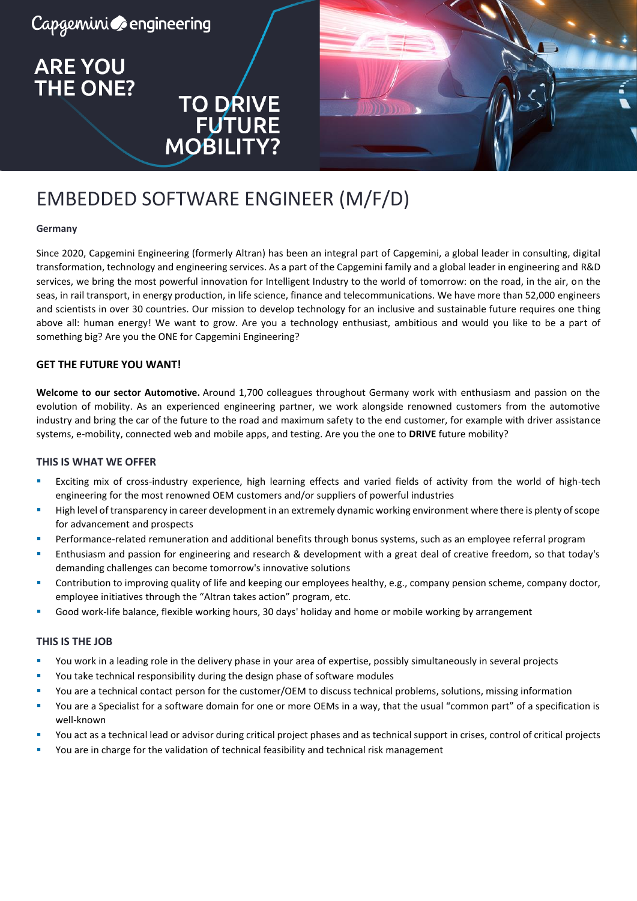Capgemini **C**engineering

## **ARE YOU THE ONE?**

# **TO DRIVE FUTURE**<br>MOBILITY?



# EMBEDDED SOFTWARE ENGINEER (M/F/D)

#### **Germany**

Since 2020, Capgemini Engineering (formerly Altran) has been an integral part of Capgemini, a global leader in consulting, digital transformation, technology and engineering services. As a part of the Capgemini family and a global leader in engineering and R&D services, we bring the most powerful innovation for Intelligent Industry to the world of tomorrow: on the road, in the air, on the seas, in rail transport, in energy production, in life science, finance and telecommunications. We have more than 52,000 engineers and scientists in over 30 countries. Our mission to develop technology for an inclusive and sustainable future requires one thing above all: human energy! We want to grow. Are you a technology enthusiast, ambitious and would you like to be a part of something big? Are you the ONE for Capgemini Engineering?

#### **GET THE FUTURE YOU WANT!**

**Welcome to our sector Automotive.** Around 1,700 colleagues throughout Germany work with enthusiasm and passion on the evolution of mobility. As an experienced engineering partner, we work alongside renowned customers from the automotive industry and bring the car of the future to the road and maximum safety to the end customer, for example with driver assistance systems, e-mobility, connected web and mobile apps, and testing. Are you the one to **DRIVE** future mobility?

#### **THIS IS WHAT WE OFFER**

- Exciting mix of cross-industry experience, high learning effects and varied fields of activity from the world of high-tech engineering for the most renowned OEM customers and/or suppliers of powerful industries
- High level of transparency in career development in an extremely dynamic working environment where there is plenty of scope for advancement and prospects
- Performance-related remuneration and additional benefits through bonus systems, such as an employee referral program
- Enthusiasm and passion for engineering and research & development with a great deal of creative freedom, so that today's demanding challenges can become tomorrow's innovative solutions
- Contribution to improving quality of life and keeping our employees healthy, e.g., company pension scheme, company doctor, employee initiatives through the "Altran takes action" program, etc.
- Good work-life balance, flexible working hours, 30 days' holiday and home or mobile working by arrangement

#### **THIS IS THE JOB**

- You work in a leading role in the delivery phase in your area of expertise, possibly simultaneously in several projects
- You take technical responsibility during the design phase of software modules
- You are a technical contact person for the customer/OEM to discuss technical problems, solutions, missing information
- You are a Specialist for a software domain for one or more OEMs in a way, that the usual "common part" of a specification is well-known
- You act as a technical lead or advisor during critical project phases and as technical support in crises, control of critical projects
- You are in charge for the validation of technical feasibility and technical risk management